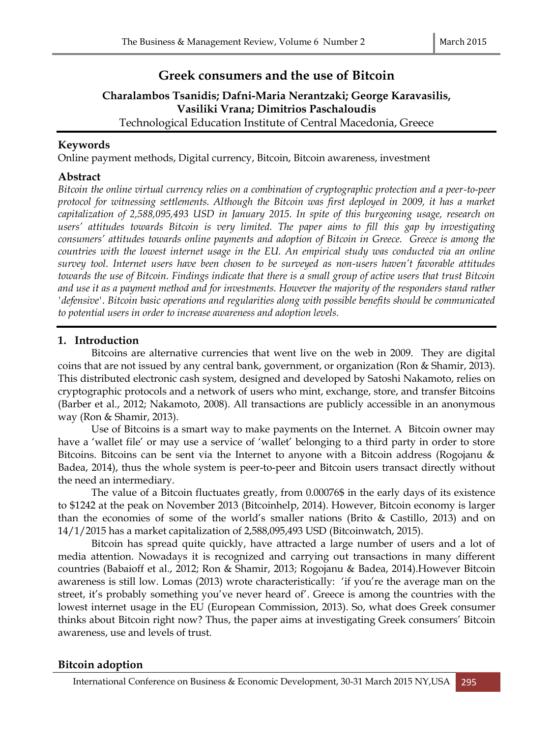# **Greek consumers and the use of Bitcoin**

# **Charalambos Tsanidis; Dafni-Maria Nerantzaki; George Karavasilis, Vasiliki Vrana; Dimitrios Paschaloudis** Technological Education Institute of Central Macedonia, Greece

# **Keywords**

Online payment methods, Digital currency, Bitcoin, Bitcoin awareness, investment

## **Abstract**

*Bitcoin the online virtual currency relies on a combination of cryptographic protection and a peer-to-peer protocol for witnessing settlements. Although the Bitcoin was first deployed in 2009, it has a market capitalization of 2,588,095,493 USD in January 2015. In spite of this burgeoning usage, research on users' attitudes towards Bitcoin is very limited. The paper aims to fill this gap by investigating consumers' attitudes towards online payments and adoption of Bitcoin in Greece. Greece is among the countries with the lowest internet usage in the EU. An empirical study was conducted via an online survey tool. Internet users have been chosen to be surveyed as non-users haven't favorable attitudes towards the use of Bitcoin. Findings indicate that there is a small group of active users that trust Bitcoin and use it as a payment method and for investments. However the majority of the responders stand rather 'defensive'. Bitcoin basic operations and regularities along with possible benefits should be communicated to potential users in order to increase awareness and adoption levels.* 

# **1. Introduction**

Bitcoins are alternative currencies that went live on the web in 2009. They are digital coins that are not issued by any central bank, government, or organization (Ron & Shamir, 2013). This distributed electronic cash system, designed and developed by Satoshi Nakamoto, relies on cryptographic protocols and a network of users who mint, exchange, store, and transfer Bitcoins (Barber et al., 2012; Nakamoto, 2008). All transactions are publicly accessible in an anonymous way (Ron & Shamir, 2013).

Use of Bitcoins is a smart way to make payments on the Internet. A Bitcoin owner may have a 'wallet file' or may use a service of 'wallet' belonging to a third party in order to store Bitcoins. Bitcoins can be sent via the Internet to anyone with a Bitcoin address (Rogojanu & Badea, 2014), thus the whole system is peer-to-peer and Bitcoin users transact directly without the need an intermediary.

The value of a Bitcoin fluctuates greatly, from 0.00076\$ in the early days of its existence to \$1242 at the peak on November 2013 (Bitcoinhelp, 2014). However, Bitcoin economy is larger than the economies of some of the world's smaller nations (Brito & Castillo, 2013) and on 14/1/2015 has a market capitalization of 2,588,095,493 USD (Bitcoinwatch, 2015).

Bitcoin has spread quite quickly, have attracted a large number of users and a lot of media attention. Nowadays it is recognized and carrying out transactions in many different countries (Babaioff et al., 2012; Ron & Shamir, 2013; Rogojanu & Badea, 2014).However Bitcoin awareness is still low. Lomas (2013) wrote characteristically: 'if you're the average man on the street, it's probably something you've never heard of'. Greece is among the countries with the lowest internet usage in the EU (European Commission, 2013). So, what does Greek consumer thinks about Bitcoin right now? Thus, the paper aims at investigating Greek consumers' Bitcoin awareness, use and levels of trust.

### **Bitcoin adoption**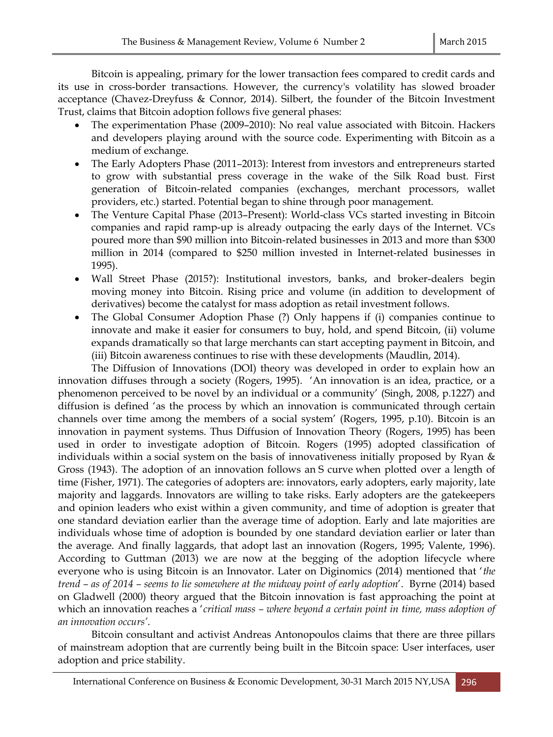Bitcoin is appealing, primary for the lower transaction fees compared to credit cards and its use in cross-border transactions. However, the currency's volatility has slowed broader acceptance (Chavez-Dreyfuss & Connor, 2014). Silbert, the founder of the Bitcoin Investment Trust, claims that Bitcoin adoption follows five general phases:

- The experimentation Phase (2009–2010): No real value associated with Bitcoin. Hackers and developers playing around with the source code. Experimenting with Bitcoin as a medium of exchange.
- The Early Adopters Phase (2011–2013): Interest from investors and entrepreneurs started to grow with substantial press coverage in the wake of the Silk Road bust. First generation of Bitcoin-related companies (exchanges, merchant processors, wallet providers, etc.) started. Potential began to shine through poor management.
- The Venture Capital Phase (2013–Present): World-class VCs started investing in Bitcoin companies and rapid ramp-up is already outpacing the early days of the Internet. VCs poured more than \$90 million into Bitcoin-related businesses in 2013 and more than \$300 million in 2014 (compared to \$250 million invested in Internet-related businesses in 1995).
- Wall Street Phase (2015?): Institutional investors, banks, and broker-dealers begin moving money into Bitcoin. Rising price and volume (in addition to development of derivatives) become the catalyst for mass adoption as retail investment follows.
- The Global Consumer Adoption Phase (?) Only happens if (i) companies continue to innovate and make it easier for consumers to buy, hold, and spend Bitcoin, (ii) volume expands dramatically so that large merchants can start accepting payment in Bitcoin, and (iii) Bitcoin awareness continues to rise with these developments (Maudlin, 2014).

The Diffusion of Innovations (DOI) theory was developed in order to explain how an innovation diffuses through a society (Rogers, 1995). 'An innovation is an idea, practice, or a phenomenon perceived to be novel by an individual or a community' (Singh, 2008, p.1227) and diffusion is defined 'as the process by which an innovation is communicated through certain channels over time among the members of a social system' (Rogers, 1995, p.10). Bitcoin is an innovation in payment systems. Thus Diffusion of Innovation Theory (Rogers, 1995) has been used in order to investigate adoption of Bitcoin. Rogers (1995) adopted classification of individuals within a [social system](http://en.wikipedia.org/wiki/Social_system) on the basis of innovativeness initially proposed by Ryan & Gross (1943). The adoption of an innovation follows an [S curve](http://en.wikipedia.org/wiki/Sigmoid_function) when plotted over a length of time (Fisher, 1971). The categories of adopters are: innovators, [early adopters,](http://en.wikipedia.org/wiki/Early_adopters) early majority, late majority and laggards. Innovators are willing to take risks. Early adopters are the gatekeepers and opinion leaders who exist within a given community, and time of adoption is greater that one standard deviation earlier than the average time of adoption. Early and late majorities are individuals whose time of adoption is bounded by one standard deviation earlier or later than the average. And finally laggards, that adopt last an innovation (Rogers, 1995; Valente, 1996). According to Guttman (2013) we are now at the begging of the adoption lifecycle where everyone who is using Bitcoin is an Innovator. Later on Diginomics (2014) mentioned that '*the trend – as of 2014 – seems to lie somewhere at the midway point of early adoption*'. Byrne (2014) based on Gladwell (2000) theory argued that the Bitcoin innovation is fast approaching the point at which an innovation reaches a '*critical mass – where beyond a certain point in time, mass adoption of an innovation occurs'*.

Bitcoin consultant and activist Andreas Antonopoulos claims that there are three pillars of mainstream adoption that are currently being built in the Bitcoin space: User interfaces, user adoption and price stability.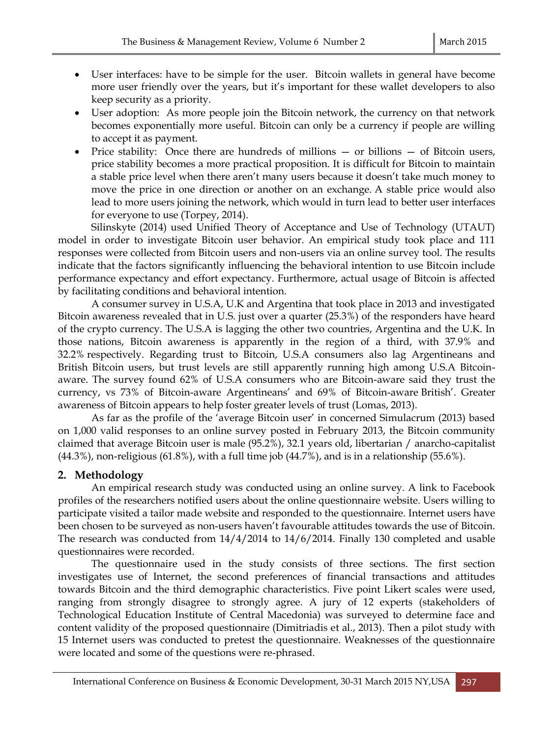- User interfaces: have to be simple for the user. Bitcoin wallets in general have become more user friendly over the years, but it's important for these wallet developers to also keep security as a priority.
- User adoption: As more people join the Bitcoin network, the currency on that network becomes exponentially more useful. Bitcoin can only be a currency if people are willing to accept it as payment.
- Price stability: Once there are hundreds of millions or billions of Bitcoin users, price stability becomes a more practical proposition. It is difficult for Bitcoin to maintain a stable price level when there aren't many users because it doesn't take much money to move the price in one direction or another on an exchange. A stable price would also lead to more users joining the network, which would in turn lead to better user interfaces for everyone to use (Torpey, 2014).

Silinskyte (2014) used Unified Theory of Acceptance and Use of Technology (UTAUT) model in order to investigate Bitcoin user behavior. An empirical study took place and 111 responses were collected from Bitcoin users and non-users via an online survey tool. The results indicate that the factors significantly influencing the behavioral intention to use Bitcoin include performance expectancy and effort expectancy. Furthermore, actual usage of Bitcoin is affected by facilitating conditions and behavioral intention.

A consumer survey in U.S.A, U.K and Argentina that took place in 2013 and investigated Bitcoin awareness revealed that in U.S. just over a quarter (25.3%) of the responders have heard of the crypto currency. The U.S.A is lagging the other two countries, Argentina and the U.K. In those nations, Bitcoin awareness is apparently in the region of a third, with 37.9% and 32.2% respectively. Regarding trust to Bitcoin, U.S.A consumers also lag Argentineans and British Bitcoin users, but trust levels are still apparently running high among U.S.A Bitcoinaware. The survey found 62% of U.S.A consumers who are Bitcoin-aware said they trust the currency, vs 73% of Bitcoin-aware Argentineans' and 69% of Bitcoin-aware British'. Greater awareness of Bitcoin appears to help foster greater levels of trust (Lomas, 2013).

As far as the profile of the 'average Bitcoin user' in concerned Simulacrum (2013) based on 1,000 valid responses to an online survey posted in February 2013, the Bitcoin community claimed that average Bitcoin user is male (95.2%), 32.1 years old, libertarian / anarcho-capitalist  $(44.3\%)$ , non-religious  $(61.8\%)$ , with a full time job  $(44.7\%)$ , and is in a relationship (55.6%).

### **2. Methodology**

An empirical research study was conducted using an online survey. A link to Facebook profiles of the researchers notified users about the online questionnaire website. Users willing to participate visited a tailor made website and responded to the questionnaire. Internet users have been chosen to be surveyed as non-users haven't favourable attitudes towards the use of Bitcoin. The research was conducted from 14/4/2014 to 14/6/2014. Finally 130 completed and usable questionnaires were recorded.

The questionnaire used in the study consists of three sections. The first section investigates use of Internet, the second preferences of financial transactions and attitudes towards Bitcoin and the third demographic characteristics. Five point Likert scales were used, ranging from strongly disagree to strongly agree. A jury of 12 experts (stakeholders of Technological Education Institute of Central Macedonia) was surveyed to determine face and content validity of the proposed questionnaire (Dimitriadis et al., 2013). Then a pilot study with 15 Internet users was conducted to pretest the questionnaire. Weaknesses of the questionnaire were located and some of the questions were re-phrased.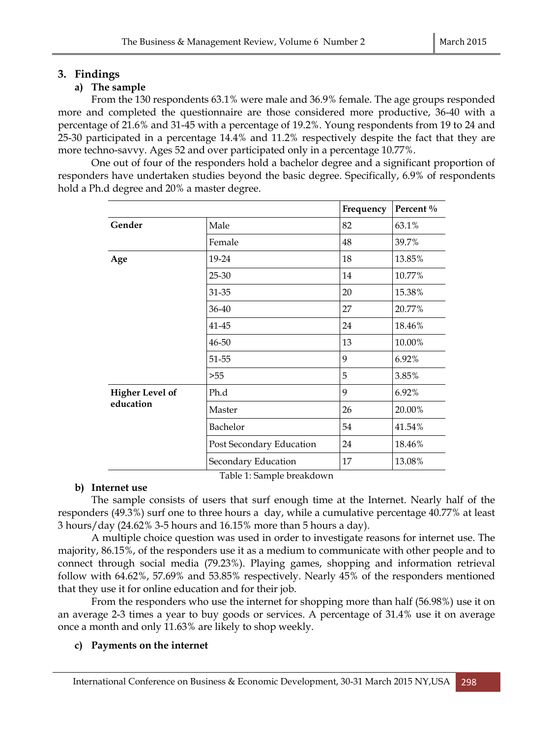# **3. Findings**

# **a) The sample**

From the 130 respondents 63.1% were male and 36.9% female. The age groups responded more and completed the questionnaire are those considered more productive, 36-40 with a percentage of 21.6% and 31-45 with a percentage of 19.2%. Young respondents from 19 to 24 and 25-30 participated in a percentage 14.4% and 11.2% respectively despite the fact that they are more techno-savvy. Ages 52 and over participated only in a percentage 10.77%.

One out of four of the responders hold a bachelor degree and a significant proportion of responders have undertaken studies beyond the basic degree. Specifically, 6.9% of respondents hold a Ph.d degree and 20% a master degree.

|                                     |                          | Frequency | Percent % |
|-------------------------------------|--------------------------|-----------|-----------|
| Gender                              | Male                     | 82        | 63.1%     |
|                                     | Female                   | 48        | 39.7%     |
| Age                                 | 19-24                    | 18        | 13.85%    |
|                                     | 25-30                    | 14        | 10.77%    |
|                                     | 31-35                    | 20        | 15.38%    |
|                                     | 36-40                    | 27        | 20.77%    |
|                                     | 41-45                    | 24        | 18.46%    |
|                                     | 46-50                    | 13        | 10.00%    |
|                                     | 51-55                    | 9         | 6.92%     |
|                                     | >55                      | 5         | 3.85%     |
| <b>Higher Level of</b><br>education | Ph.d                     | 9         | 6.92%     |
|                                     | Master                   | 26        | 20.00%    |
|                                     | Bachelor                 | 54        | 41.54%    |
|                                     | Post Secondary Education | 24        | 18.46%    |
|                                     | Secondary Education      | 17        | 13.08%    |

Table 1: Sample breakdown

### **b) Internet use**

The sample consists of users that surf enough time at the Internet. Nearly half of the responders (49.3%) surf one to three hours a day, while a cumulative percentage 40.77% at least 3 hours/day (24.62% 3-5 hours and 16.15% more than 5 hours a day).

A multiple choice question was used in order to investigate reasons for internet use. The majority, 86.15%, of the responders use it as a medium to communicate with other people and to connect through social media (79.23%). Playing games, shopping and information retrieval follow with 64.62%, 57.69% and 53.85% respectively. Nearly 45% of the responders mentioned that they use it for online education and for their job.

From the responders who use the internet for shopping more than half (56.98%) use it on an average 2-3 times a year to buy goods or services. A percentage of 31.4% use it on average once a month and only 11.63% are likely to shop weekly.

### **c) Payments on the internet**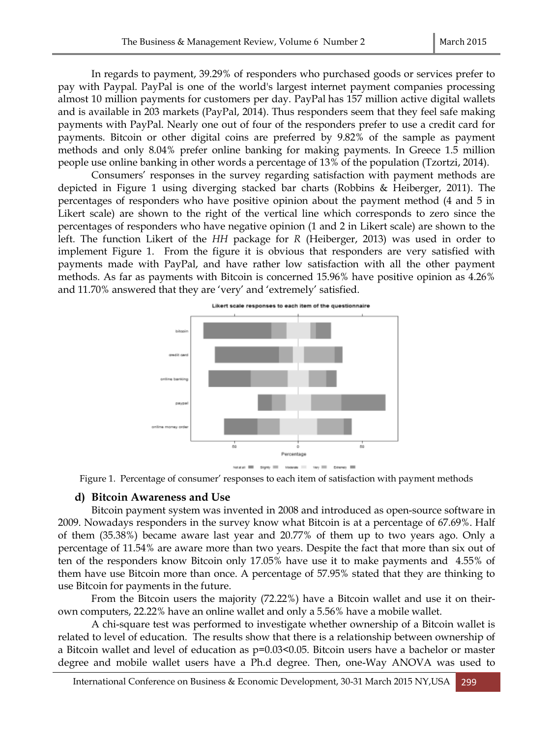In regards to payment, 39.29% of responders who purchased goods or services prefer to pay with Paypal. PayPal is one of the world's largest internet payment companies processing almost 10 million payments for customers per day. PayPal has 157 million active digital wallets and is available in 203 markets (PayPal, 2014). Thus responders seem that they feel safe making payments with PayPal. Nearly one out of four of the responders prefer to use a credit card for payments. Bitcoin or other digital coins are preferred by 9.82% of the sample as payment methods and only 8.04% prefer online banking for making payments. In Greece 1.5 million people use online banking in other words a percentage of 13% of the population (Tzortzi, 2014).

Consumers' responses in the survey regarding satisfaction with payment methods are depicted in Figure 1 using diverging stacked bar charts (Robbins & Heiberger, 2011). The percentages of responders who have positive opinion about the payment method (4 and 5 in Likert scale) are shown to the right of the vertical line which corresponds to zero since the percentages of responders who have negative opinion (1 and 2 in Likert scale) are shown to the left. The function Likert of the *HH* package for *R* (Heiberger, 2013) was used in order to implement Figure 1. From the figure it is obvious that responders are very satisfied with payments made with PayPal, and have rather low satisfaction with all the other payment methods. As far as payments with Bitcoin is concerned 15.96% have positive opinion as 4.26% and 11.70% answered that they are 'very' and 'extremely' satisfied.



Figure 1. Percentage of consumer' responses to each item of satisfaction with payment methods

#### **d) Bitcoin Awareness and Use**

Bitcoin payment system was invented in 2008 and introduced as open-source software in 2009. Nowadays responders in the survey know what Bitcoin is at a percentage of 67.69%. Half of them (35.38%) became aware last year and 20.77% of them up to two years ago. Only a percentage of 11.54% are aware more than two years. Despite the fact that more than six out of ten of the responders know Bitcoin only 17.05% have use it to make payments and 4.55% of them have use Bitcoin more than once. A percentage of 57.95% stated that they are thinking to use Bitcoin for payments in the future.

From the Bitcoin users the majority (72.22%) have a Bitcoin wallet and use it on theirown computers, 22.22% have an online wallet and only a 5.56% have a mobile wallet.

A chi-square test was performed to investigate whether ownership of a Bitcoin wallet is related to level of education. The results show that there is a relationship between ownership of a Bitcoin wallet and level of education as p=0.03<0.05. Bitcoin users have a bachelor or master degree and mobile wallet users have a Ph.d degree. Then, one-Way ANOVA was used to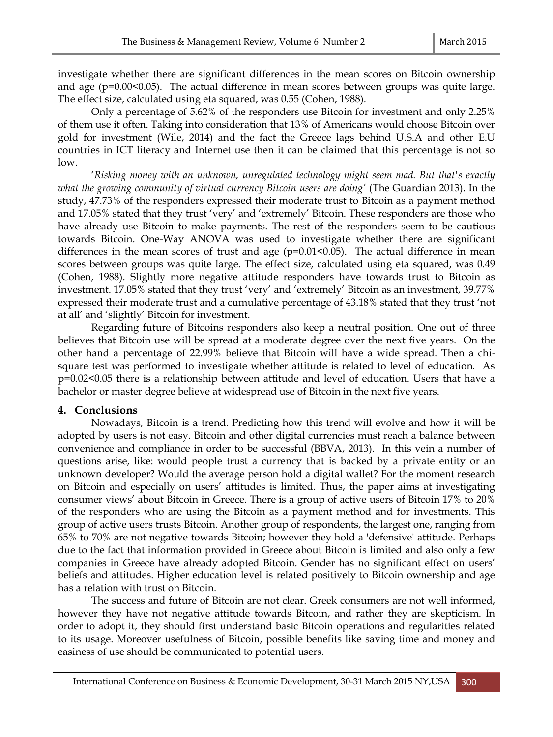investigate whether there are significant differences in the mean scores on Bitcoin ownership and age ( $p=0.00<0.05$ ). The actual difference in mean scores between groups was quite large. The effect size, calculated using eta squared, was 0.55 (Cohen, 1988).

Only a percentage of 5.62% of the responders use Bitcoin for investment and only 2.25% of them use it often. Taking into consideration that 13% of Americans would choose Bitcoin over gold for investment (Wile, 2014) and the fact the Greece lags behind U.S.A and other E.U countries in ICT literacy and Internet use then it can be claimed that this percentage is not so low.

'*Risking money with an unknown, unregulated technology might seem mad. But that's exactly what the growing community of virtual currency Bitcoin users are doing'* (The Guardian 2013). In the study, 47.73% of the responders expressed their moderate trust to Bitcoin as a payment method and 17.05% stated that they trust 'very' and 'extremely' Bitcoin. These responders are those who have already use Bitcoin to make payments. The rest of the responders seem to be cautious towards Bitcoin. One-Way ANOVA was used to investigate whether there are significant differences in the mean scores of trust and age  $(p=0.01<0.05)$ . The actual difference in mean scores between groups was quite large. The effect size, calculated using eta squared, was 0.49 (Cohen, 1988). Slightly more negative attitude responders have towards trust to Bitcoin as investment. 17.05% stated that they trust 'very' and 'extremely' Bitcoin as an investment, 39.77% expressed their moderate trust and a cumulative percentage of 43.18% stated that they trust 'not at all' and 'slightly' Bitcoin for investment.

Regarding future of Bitcoins responders also keep a neutral position. One out of three believes that Bitcoin use will be spread at a moderate degree over the next five years. On the other hand a percentage of 22.99% believe that Bitcoin will have a wide spread. Then a chisquare test was performed to investigate whether attitude is related to level of education. As p=0.02<0.05 there is a relationship between attitude and level of education. Users that have a bachelor or master degree believe at widespread use of Bitcoin in the next five years.

#### **4. Conclusions**

Nowadays, Bitcoin is a trend. Predicting how this trend will evolve and how it will be adopted by users is not easy. Bitcoin and other digital currencies must reach a balance between convenience and compliance in order to be successful (BBVA, 2013). In this vein a number of questions arise, like: would people trust a currency that is backed by a private entity or an unknown developer? Would the average person hold a digital wallet? For the moment research on Bitcoin and especially on users' attitudes is limited. Thus, the paper aims at investigating consumer views' about Bitcoin in Greece. There is a group of active users of Bitcoin 17% to 20% of the responders who are using the Bitcoin as a payment method and for investments. This group of active users trusts Bitcoin. Another group of respondents, the largest one, ranging from 65% to 70% are not negative towards Bitcoin; however they hold a 'defensive' attitude. Perhaps due to the fact that information provided in Greece about Bitcoin is limited and also only a few companies in Greece have already adopted Bitcoin. Gender has no significant effect on users' beliefs and attitudes. Higher education level is related positively to Bitcoin ownership and age has a relation with trust on Bitcoin.

The success and future of Bitcoin are not clear. Greek consumers are not well informed, however they have not negative attitude towards Bitcoin, and rather they are skepticism. In order to adopt it, they should first understand basic Bitcoin operations and regularities related to its usage. Moreover usefulness of Bitcoin, possible benefits like saving time and money and easiness of use should be communicated to potential users.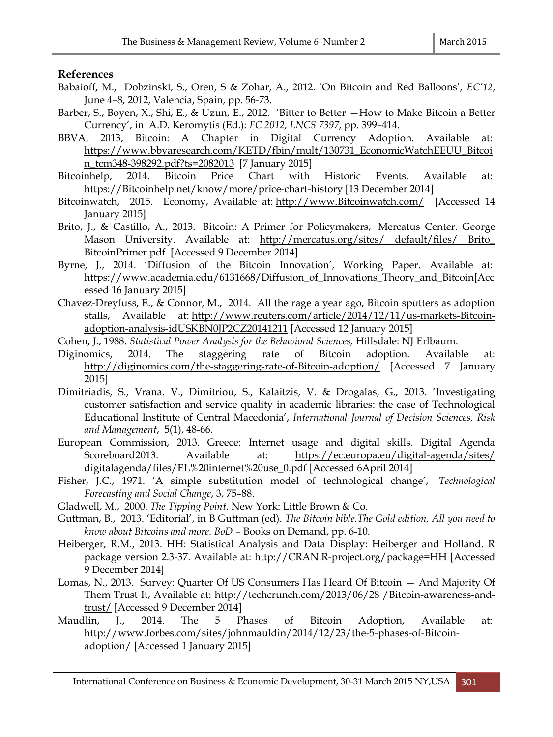#### **References**

- Babaioff, M., Dobzinski, S., Oren, S & Zohar, A., 2012. 'On Bitcoin and Red Balloons', *EC'12*, June 4–8, 2012, Valencia, Spain, pp. 56-73.
- Barber, S., Boyen, X., Shi, E., & Uzun, E., 2012. 'Bitter to Better —How to Make Bitcoin a Better Currency', in A.D. Keromytis (Ed.): *FC 2012, LNCS 7397*, pp. 399–414.
- BBVA, 2013, Bitcoin: A Chapter in Digital Currency Adoption. Available at: [https://www.bbvaresearch.com/KETD/fbin/mult/130731\\_EconomicWatchEEUU\\_Bitcoi](https://www.bbvaresearch.com/KETD/fbin/mult/130731_EconomicWatchEEUU_Bitcoin_tcm348-398292.pdf?ts=2082013) [n\\_tcm348-398292.pdf?ts=2082013](https://www.bbvaresearch.com/KETD/fbin/mult/130731_EconomicWatchEEUU_Bitcoin_tcm348-398292.pdf?ts=2082013) [7 January 2015]
- Bitcoinhelp, 2014. Bitcoin Price Chart with Historic Events. Available at: [https://Bitcoinhelp.net/know/more/price-chart-history](https://bitcoinhelp.net/know/more/price-chart-history) [13 December 2014]
- Bitcoinwatch, 2015. Economy, Available at: [http://www.Bitcoinwatch.com/](http://www.bitcoinwatch.com/) [Accessed 14 January 2015]
- Brito, J., & Castillo, A., 2013. Bitcoin: A Primer for Policymakers, Mercatus Center. George Mason University. Available at: [http://mercatus.org/sites/ default/files/ Brito\\_](http://mercatus.org/sites/%20default/files/%20Brito_%20BitcoinPrimer.pdf)  [BitcoinPrimer.pdf](http://mercatus.org/sites/%20default/files/%20Brito_%20BitcoinPrimer.pdf) [Accessed 9 December 2014]
- Byrne, J., 2014. 'Diffusion of the Bitcoin Innovation', Working Paper. Available at: [https://www.academia.edu/6131668/Diffusion\\_of\\_Innovations\\_Theory\\_and\\_Bitcoin\[](https://www.academia.edu/6131668/Diffusion_of_Innovations_Theory_and_Bitcoin)Acc essed 16 January 2015]
- Chavez-Dreyfuss, E., & Connor, M., 2014. All the rage a year ago, Bitcoin sputters as adoption stalls, Available at: [http://www.reuters.com/article/2014/12/11/us-markets-Bitcoin](http://www.reuters.com/article/2014/12/11/us-markets-bitcoin-adoption-analysis-idUSKBN0JP2CZ20141211)[adoption-analysis-idUSKBN0JP2CZ20141211](http://www.reuters.com/article/2014/12/11/us-markets-bitcoin-adoption-analysis-idUSKBN0JP2CZ20141211) [Accessed 12 January 2015]
- Cohen, J., 1988. *Statistical Power Analysis for the Behavioral Sciences,* Hillsdale: NJ Erlbaum.
- Diginomics, 2014. The staggering rate of Bitcoin adoption. Available at: [http://diginomics.com/the-staggering-rate-of-Bitcoin-adoption/](http://diginomics.com/the-staggering-rate-of-bitcoin-adoption/) [Accessed 7 January 2015]
- Dimitriadis, S., Vrana. V., Dimitriou, S., Kalaitzis, V. & Drogalas, G., 2013. 'Investigating customer satisfaction and service quality in academic libraries: the case of Technological Educational Institute of Central Macedonia', *International Journal of Decision Sciences, Risk and Management*, 5(1), 48-66.
- European Commission, 2013. Greece: Internet usage and digital skills. Digital Agenda Scoreboard2013. Available at: <https://ec.europa.eu/digital-agenda/sites/> digitalagenda/files/EL%20internet%20use\_0.pdf [Accessed 6April 2014]
- Fisher, J.C., 1971. 'A simple substitution model of technological change', *Technological Forecasting and Social Change*, 3, 75–88.
- Gladwell, M., 2000. *The Tipping Point.* New York: Little Brown & Co.
- Guttman, B., 2013. 'Editorial', in B Guttman (ed). *The Bitcoin bible.The Gold edition, All you need to know about Bitcoins and more. BoD –* Books on Demand, pp. 6-10.
- Heiberger, R.M., 2013. HH: Statistical Analysis and Data Display: Heiberger and Holland. R package version 2.3-37. Available at: [http://CRAN.R-project.org/package=HH](http://cran.r-project.org/package=HH) [Accessed 9 December 2014]
- Lomas, N., 2013. Survey: Quarter Of US Consumers Has Heard Of Bitcoin And Majority Of Them Trust It, Available at: [http://techcrunch.com/2013/06/28 /Bitcoin-awareness-and](http://techcrunch.com/2013/06/28%20/bitcoin-awareness-and-trust/)[trust/](http://techcrunch.com/2013/06/28%20/bitcoin-awareness-and-trust/) [Accessed 9 December 2014]
- Maudlin, J., 2014. The 5 Phases of Bitcoin Adoption, Available at: [http://www.forbes.com/sites/johnmauldin/2014/12/23/the-5-phases-of-Bitcoin](http://www.forbes.com/sites/johnmauldin/2014/12/23/the-5-phases-of-bitcoin-adoption/)[adoption/](http://www.forbes.com/sites/johnmauldin/2014/12/23/the-5-phases-of-bitcoin-adoption/) [Accessed 1 January 2015]